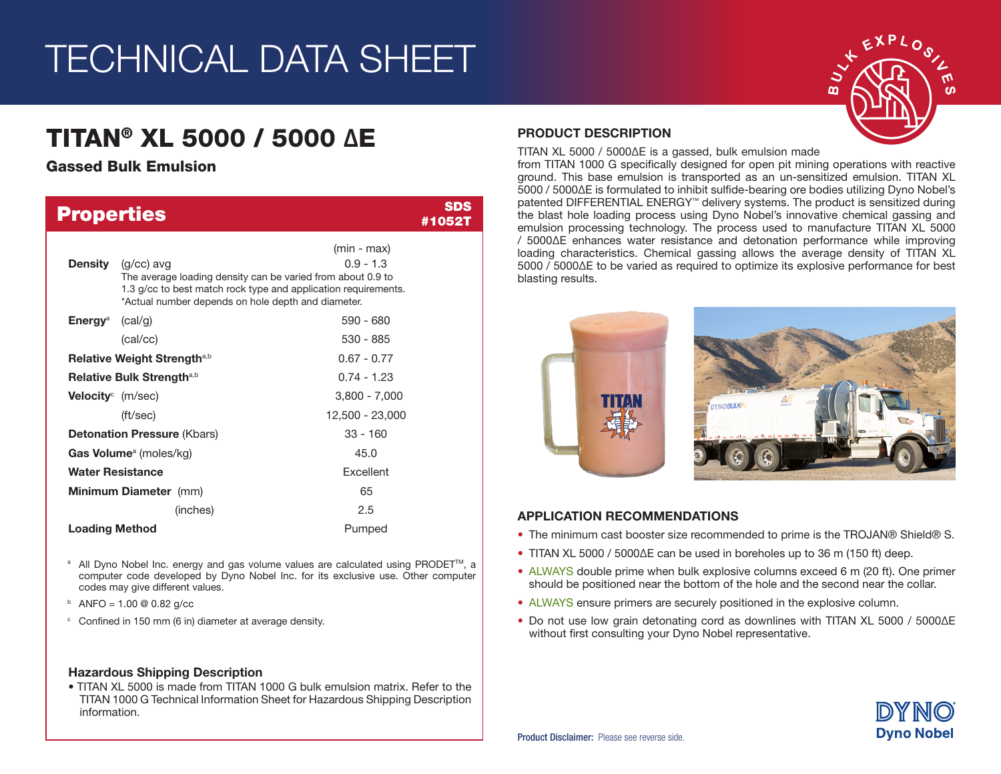# TECHNICAL DATA SHEET

# TITAN® XL 5000 / 5000 ΔE

## Gassed Bulk Emulsion

| <b>Properties</b>                       |                                                                                                                                   |                                                                                                | SDS<br>#10521 |
|-----------------------------------------|-----------------------------------------------------------------------------------------------------------------------------------|------------------------------------------------------------------------------------------------|---------------|
| <b>Density</b>                          | $(g/cc)$ avg<br>The average loading density can be varied from about 0.9 to<br>*Actual number depends on hole depth and diameter. | $(min - max)$<br>$0.9 - 1.3$<br>1.3 g/cc to best match rock type and application requirements. |               |
| <b>Energy</b> <sup>a</sup>              | (cal/g)                                                                                                                           | $590 - 680$                                                                                    |               |
|                                         | (cal/cc)                                                                                                                          | $530 - 885$                                                                                    |               |
| Relative Weight Strength <sup>a,b</sup> |                                                                                                                                   | $0.67 - 0.77$                                                                                  |               |
| Relative Bulk Strengtha,b               |                                                                                                                                   | $0.74 - 1.23$                                                                                  |               |
| <b>Velocity</b> (m/sec)                 |                                                                                                                                   | $3,800 - 7,000$                                                                                |               |
|                                         | $({\rm ft/sec})$                                                                                                                  | 12,500 - 23,000                                                                                |               |
| <b>Detonation Pressure (Kbars)</b>      |                                                                                                                                   | $33 - 160$                                                                                     |               |
| Gas Volume <sup>a</sup> (moles/kg)      |                                                                                                                                   | 45.0                                                                                           |               |
| <b>Water Resistance</b>                 |                                                                                                                                   | <b>Fxcellent</b>                                                                               |               |
| Minimum Diameter (mm)                   |                                                                                                                                   | 65                                                                                             |               |
|                                         | (inches)                                                                                                                          | 2.5                                                                                            |               |
| <b>Loading Method</b>                   |                                                                                                                                   | Pumped                                                                                         |               |

- <sup>a</sup> All Dyno Nobel Inc. energy and gas volume values are calculated using PRODET<sup>™</sup>, a computer code developed by Dyno Nobel Inc. for its exclusive use. Other computer codes may give different values.
- $b$  ANFO = 1.00 @ 0.82 g/cc
- <sup>c</sup> Confined in 150 mm (6 in) diameter at average density.

#### Hazardous Shipping Description

• TITAN XL 5000 is made from TITAN 1000 G bulk emulsion matrix. Refer to the TITAN 1000 G Technical Information Sheet for Hazardous Shipping Description information.

### PRODUCT DESCRIPTION

TITAN XL 5000 / 5000ΔE is a gassed, bulk emulsion made

from TITAN 1000 G specifically designed for open pit mining operations with reactive ground. This base emulsion is transported as an un-sensitized emulsion. TITAN XL 5000 / 5000ΔE is formulated to inhibit sulfide-bearing ore bodies utilizing Dyno Nobel's patented DIFFERENTIAL ENERGY™ delivery systems. The product is sensitized during the blast hole loading process using Dyno Nobel's innovative chemical gassing and emulsion processing technology. The process used to manufacture TITAN XL 5000 / 5000ΔE enhances water resistance and detonation performance while improving loading characteristics. Chemical gassing allows the average density of TITAN XL 5000 / 5000ΔE to be varied as required to optimize its explosive performance for best blasting results.



### APPLICATION RECOMMENDATIONS

- The minimum cast booster size recommended to prime is the TROJAN® Shield® S.
- TITAN XL 5000 / 5000ΔE can be used in boreholes up to 36 m (150 ft) deep.
- ALWAYS double prime when bulk explosive columns exceed 6 m (20 ft). One primer should be positioned near the bottom of the hole and the second near the collar.
- ALWAYS ensure primers are securely positioned in the explosive column.
- Do not use low grain detonating cord as downlines with TITAN XL 5000 / 5000ΔE without first consulting your Dyno Nobel representative.